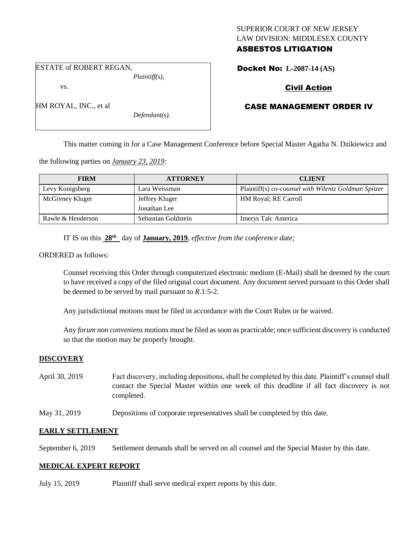## SUPERIOR COURT OF NEW JERSEY LAW DIVISION: MIDDLESEX COUNTY ASBESTOS LITIGATION

ESTATE of ROBERT REGAN,

vs.

HM ROYAL, INC., et al

*Plaintiff(s),*

*Defendant(s).*

# Civil Action

Docket No: **L-2087-14 (AS)** 

# CASE MANAGEMENT ORDER IV

This matter coming in for a Case Management Conference before Special Master Agatha N. Dzikiewicz and

the following parties on *January 23, 2019:*

| <b>FIRM</b>       | <b>ATTORNEY</b>     | <b>CLIENT</b>                                        |
|-------------------|---------------------|------------------------------------------------------|
| Levy Konigsberg   | Lara Weissman       | Plaintiff(s) co-counsel with Wilentz Goldman Spitzer |
| McGivney Kluger   | Jeffrey Kluger      | <b>HM Royal</b> ; RE Carroll                         |
|                   | Jonathan Lee        |                                                      |
| Rawle & Henderson | Sebastian Goldstein | Imerys Talc America                                  |

IT IS on this **28th** day of **January, 2019**, *effective from the conference date;*

ORDERED as follows:

Counsel receiving this Order through computerized electronic medium (E-Mail) shall be deemed by the court to have received a copy of the filed original court document. Any document served pursuant to this Order shall be deemed to be served by mail pursuant to *R*.1:5-2.

Any jurisdictional motions must be filed in accordance with the Court Rules or be waived.

Any *forum non conveniens* motions must be filed as soon as practicable; once sufficient discovery is conducted so that the motion may be properly brought.

#### **DISCOVERY**

- April 30, 2019 Fact discovery, including depositions, shall be completed by this date. Plaintiff's counsel shall contact the Special Master within one week of this deadline if all fact discovery is not completed.
- May 31, 2019 Depositions of corporate representatives shall be completed by this date.

## **EARLY SETTLEMENT**

September 6, 2019 Settlement demands shall be served on all counsel and the Special Master by this date.

#### **MEDICAL EXPERT REPORT**

July 15, 2019 Plaintiff shall serve medical expert reports by this date.